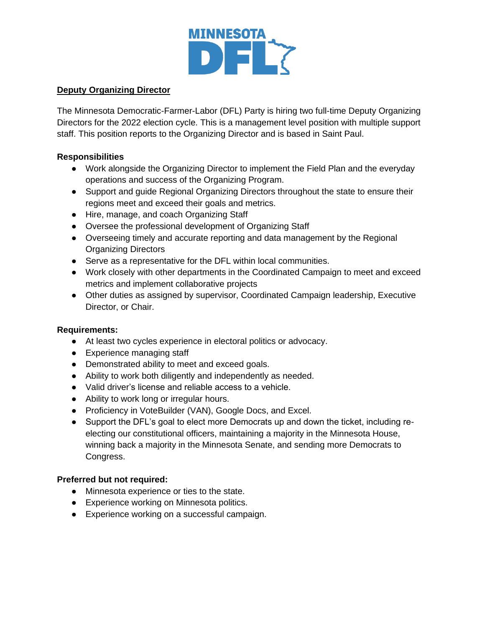

## **Deputy Organizing Director**

The Minnesota Democratic-Farmer-Labor (DFL) Party is hiring two full-time Deputy Organizing Directors for the 2022 election cycle. This is a management level position with multiple support staff. This position reports to the Organizing Director and is based in Saint Paul.

## **Responsibilities**

- Work alongside the Organizing Director to implement the Field Plan and the everyday operations and success of the Organizing Program.
- Support and guide Regional Organizing Directors throughout the state to ensure their regions meet and exceed their goals and metrics.
- Hire, manage, and coach Organizing Staff
- Oversee the professional development of Organizing Staff
- Overseeing timely and accurate reporting and data management by the Regional Organizing Directors
- Serve as a representative for the DFL within local communities.
- Work closely with other departments in the Coordinated Campaign to meet and exceed metrics and implement collaborative projects
- Other duties as assigned by supervisor, Coordinated Campaign leadership, Executive Director, or Chair.

# **Requirements:**

- At least two cycles experience in electoral politics or advocacy.
- Experience managing staff
- Demonstrated ability to meet and exceed goals.
- Ability to work both diligently and independently as needed.
- Valid driver's license and reliable access to a vehicle.
- Ability to work long or irregular hours.
- Proficiency in VoteBuilder (VAN), Google Docs, and Excel.
- Support the DFL's goal to elect more Democrats up and down the ticket, including reelecting our constitutional officers, maintaining a majority in the Minnesota House, winning back a majority in the Minnesota Senate, and sending more Democrats to Congress.

# **Preferred but not required:**

- Minnesota experience or ties to the state.
- Experience working on Minnesota politics.
- Experience working on a successful campaign.